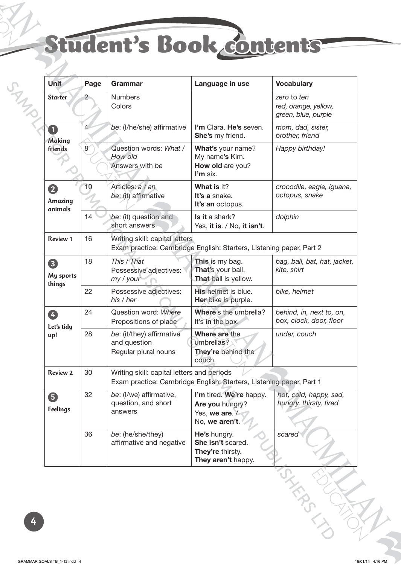## Student's Book contents

| Unit                          | Page           | Grammar                                                                                                           | Language in use                                                                | <b>Vocabulary</b>                                          |  |  |
|-------------------------------|----------------|-------------------------------------------------------------------------------------------------------------------|--------------------------------------------------------------------------------|------------------------------------------------------------|--|--|
| <b>Starter</b>                | 2              | <b>Numbers</b><br>Colors                                                                                          |                                                                                | zero to ten<br>red, orange, yellow,<br>green, blue, purple |  |  |
| 1<br><b>Making</b><br>friends | $\overline{4}$ | be: (I/he/she) affirmative                                                                                        | I'm Clara. He's seven.<br>She's my friend.                                     | mom, dad, sister,<br>brother, friend                       |  |  |
|                               | 8              | Question words: What /<br>How old<br>Answers with be                                                              | What's your name?<br>My name's Kim.<br>How old are you?<br>I'm six.            | Happy birthday!                                            |  |  |
| 2<br>Amazing<br>animals       | 10             | Articles: a / an<br>be: (it) affirmative                                                                          | What is it?<br>It's a snake.<br>It's an octopus.                               | crocodile, eagle, iguana,<br>octopus, snake                |  |  |
|                               | 14             | be: (it) question and<br>short answers                                                                            | Is it a shark?<br>Yes, it is. / No, it isn't.                                  | dolphin                                                    |  |  |
| <b>Review 1</b>               | 16             | Writing skill: capital letters<br>Exam practice: Cambridge English: Starters, Listening paper, Part 2             |                                                                                |                                                            |  |  |
| 8<br>My sports<br>things      | 18             | This / That<br>Possessive adjectives:<br>my / your                                                                | This is my bag.<br>That's your ball.<br>That ball is yellow.                   | bag, ball, bat, hat, jacket,<br>kite, shirt                |  |  |
|                               | 22             | Possessive adjectives:<br>his / her                                                                               | <b>His helmet is blue.</b><br>Her bike is purple.                              | bike, helmet                                               |  |  |
| Ø<br>Let's tidy<br>up!        | 24             | Question word: Where<br>Prepositions of place                                                                     | Where's the umbrella?<br>It's in the box.                                      | behind, in, next to, on,<br>box, clock, door, floor        |  |  |
|                               | 28             | be: (it/they) affirmative<br>and question<br>Regular plural nouns                                                 | Where are the<br>umbrellas?<br>They're behind the<br>couch.                    | under, couch                                               |  |  |
| <b>Review 2</b>               | 30             | Writing skill: capital letters and periods<br>Exam practice: Cambridge English: Starters, Listening paper, Part 1 |                                                                                |                                                            |  |  |
| 6<br><b>Feelings</b>          | 32             | be: (I/we) affirmative,<br>question, and short<br>answers                                                         | I'm tired. We're happy.<br>Are you hungry?<br>Yes, we are. /<br>No, we aren't. | hot, cold, happy, sad,<br>hungry, thirsty, tired           |  |  |
|                               | 36             | be: (he/she/they)<br>affirmative and negative                                                                     | He's hungry.<br>She isn't scared.<br>They're thirsty.<br>They aren't happy.    | scared                                                     |  |  |
|                               |                |                                                                                                                   |                                                                                |                                                            |  |  |

**4**